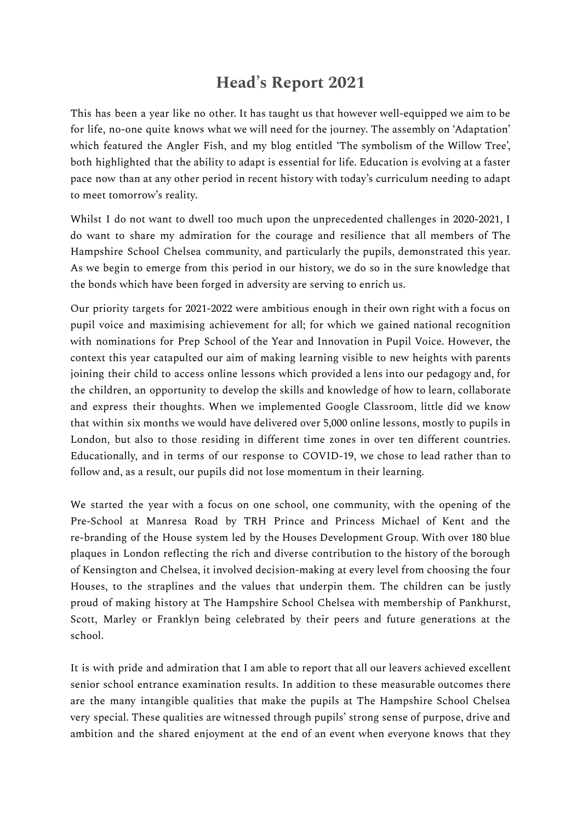## **Head' s Report 2021**

This has been a year like no other. It has taught us that however well-equipped we aim to be for life, no-one quite knows what we will need for the journey. The assembly on 'Adaptation' which featured the Angler Fish, and my blog entitled 'The symbolism of the Willow Tree', both highlighted that the ability to adapt is essential for life. Education is evolving at a faster pace now than at any other period in recent history with today's curriculum needing to adapt to meet tomorrow's reality.

Whilst I do not want to dwell too much upon the unprecedented challenges in 2020-2021, I do want to share my admiration for the courage and resilience that all members of The Hampshire School Chelsea community, and particularly the pupils, demonstrated this year. As we begin to emerge from this period in our history, we do so in the sure knowledge that the bonds which have been forged in adversity are serving to enrich us.

Our priority targets for 2021-2022 were ambitious enough in their own right with a focus on pupil voice and maximising achievement for all; for which we gained national recognition with nominations for Prep School of the Year and Innovation in Pupil Voice. However, the context this year catapulted our aim of making learning visible to new heights with parents joining their child to access online lessons which provided a lens into our pedagogy and, for the children, an opportunity to develop the skills and knowledge of how to learn, collaborate and express their thoughts. When we implemented Google Classroom, little did we know that within six months we would have delivered over 5,000 online lessons, mostly to pupils in London, but also to those residing in different time zones in over ten different countries. Educationally, and in terms of our response to COVID-19, we chose to lead rather than to follow and, as a result, our pupils did not lose momentum in their learning.

We started the year with a focus on one school, one community, with the opening of the Pre-School at Manresa Road by TRH Prince and Princess Michael of Kent and the re-branding of the House system led by the Houses Development Group. With over 180 blue plaques in London reflecting the rich and diverse contribution to the history of the borough of Kensington and Chelsea, it involved decision-making at every level from choosing the four Houses, to the straplines and the values that underpin them. The children can be justly proud of making history at The Hampshire School Chelsea with membership of Pankhurst, Scott, Marley or Franklyn being celebrated by their peers and future generations at the school.

It is with pride and admiration that I am able to report that all our leavers achieved excellent senior school entrance examination results. In addition to these measurable outcomes there are the many intangible qualities that make the pupils at The Hampshire School Chelsea very special. These qualities are witnessed through pupils' strong sense of purpose, drive and ambition and the shared enjoyment at the end of an event when everyone knows that they